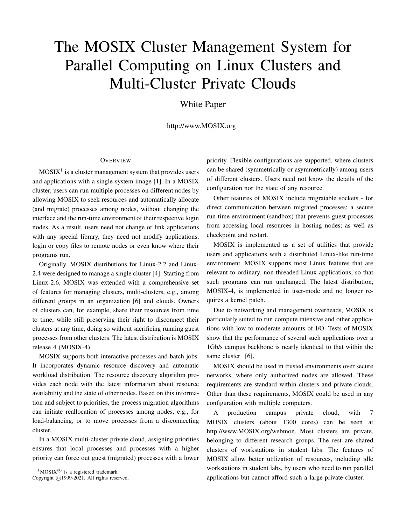# The MOSIX Cluster Management System for Parallel Computing on Linux Clusters and Multi-Cluster Private Clouds

White Paper

http://www.MOSIX.org

### **OVERVIEW**

 $MOSIX<sup>1</sup>$  is a cluster management system that provides users and applications with a single-system image [1]. In a MOSIX cluster, users can run multiple processes on different nodes by allowing MOSIX to seek resources and automatically allocate (and migrate) processes among nodes, without changing the interface and the run-time environment of their respective login nodes. As a result, users need not change or link applications with any special library, they need not modify applications, login or copy files to remote nodes or even know where their programs run.

Originally, MOSIX distributions for Linux-2.2 and Linux-2.4 were designed to manage a single cluster [4]. Starting from Linux-2.6, MOSIX was extended with a comprehensive set of features for managing clusters, multi-clusters, e.g., among different groups in an organization [6] and clouds. Owners of clusters can, for example, share their resources from time to time, while still preserving their right to disconnect their clusters at any time, doing so without sacrificing running guest processes from other clusters. The latest distribution is MOSIX release 4 (MOSIX-4).

MOSIX supports both interactive processes and batch jobs. It incorporates dynamic resource discovery and automatic workload distribution. The resource discovery algorithm provides each node with the latest information about resource availability and the state of other nodes. Based on this information and subject to priorities, the process migration algorithms can initiate reallocation of processes among nodes, e.g., for load-balancing, or to move processes from a disconnecting cluster.

In a MOSIX multi-cluster private cloud, assigning priorities ensures that local processes and processes with a higher priority can force out guest (migrated) processes with a lower

 ${}^{1}$ MOSIX<sup>®</sup> is a registered trademark. Copyright ©1999-2021. All rights reserved.

priority. Flexible configurations are supported, where clusters can be shared (symmetrically or asymmetrically) among users of different clusters. Users need not know the details of the configuration nor the state of any resource.

Other features of MOSIX include migratable sockets - for direct communication between migrated processes; a secure run-time environment (sandbox) that prevents guest processes from accessing local resources in hosting nodes; as well as checkpoint and restart.

MOSIX is implemented as a set of utilities that provide users and applications with a distributed Linux-like run-time environment. MOSIX supports most Linux features that are relevant to ordinary, non-threaded Linux applications, so that such programs can run unchanged. The latest distribution, MOSIX-4, is implemented in user-mode and no longer requires a kernel patch.

Due to networking and management overheads, MOSIX is particularly suited to run compute intensive and other applications with low to moderate amounts of I/O. Tests of MOSIX show that the performance of several such applications over a 1Gb/s campus backbone is nearly identical to that within the same cluster [6].

MOSIX should be used in trusted environments over secure networks, where only authorized nodes are allowed. These requirements are standard within clusters and private clouds. Other than these requirements, MOSIX could be used in any configuration with multiple computers.

A production campus private cloud, with 7 MOSIX clusters (about 1300 cores) can be seen at http://www.MOSIX.org/webmon. Most clusters are private, belonging to different research groups. The rest are shared clusters of workstations in student labs. The features of MOSIX allow better utilization of resources, including idle workstations in student labs, by users who need to run parallel applications but cannot afford such a large private cluster.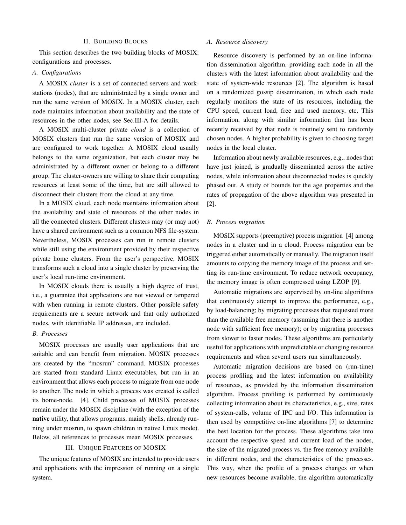#### II. BUILDING BLOCKS

This section describes the two building blocks of MOSIX: configurations and processes.

# *A. Configurations*

A MOSIX *cluster* is a set of connected servers and workstations (nodes), that are administrated by a single owner and run the same version of MOSIX. In a MOSIX cluster, each node maintains information about availability and the state of resources in the other nodes, see Sec.III-A for details.

A MOSIX multi-cluster private *cloud* is a collection of MOSIX clusters that run the same version of MOSIX and are configured to work together. A MOSIX cloud usually belongs to the same organization, but each cluster may be administrated by a different owner or belong to a different group. The cluster-owners are willing to share their computing resources at least some of the time, but are still allowed to disconnect their clusters from the cloud at any time.

In a MOSIX cloud, each node maintains information about the availability and state of resources of the other nodes in all the connected clusters. Different clusters may (or may not) have a shared environment such as a common NFS file-system. Nevertheless, MOSIX processes can run in remote clusters while still using the environment provided by their respective private home clusters. From the user's perspective, MOSIX transforms such a cloud into a single cluster by preserving the user's local run-time environment.

In MOSIX clouds there is usually a high degree of trust, i.e., a guarantee that applications are not viewed or tampered with when running in remote clusters. Other possible safety requirements are a secure network and that only authorized nodes, with identifiable IP addresses, are included.

## *B. Processes*

MOSIX processes are usually user applications that are suitable and can benefit from migration. MOSIX processes are created by the "mosrun" command. MOSIX processes are started from standard Linux executables, but run in an environment that allows each process to migrate from one node to another. The node in which a process was created is called its home-node. [4]. Child processes of MOSIX processes remain under the MOSIX discipline (with the exception of the native utility, that allows programs, mainly shells, already running under mosrun, to spawn children in native Linux mode). Below, all references to processes mean MOSIX processes.

#### III. UNIQUE FEATURES OF MOSIX

The unique features of MOSIX are intended to provide users and applications with the impression of running on a single system.

### *A. Resource discovery*

Resource discovery is performed by an on-line information dissemination algorithm, providing each node in all the clusters with the latest information about availability and the state of system-wide resources [2]. The algorithm is based on a randomized gossip dissemination, in which each node regularly monitors the state of its resources, including the CPU speed, current load, free and used memory, etc. This information, along with similar information that has been recently received by that node is routinely sent to randomly chosen nodes. A higher probability is given to choosing target nodes in the local cluster.

Information about newly available resources, e.g., nodes that have just joined, is gradually disseminated across the active nodes, while information about disconnected nodes is quickly phased out. A study of bounds for the age properties and the rates of propagation of the above algorithm was presented in [2].

# *B. Process migration*

MOSIX supports (preemptive) process migration [4] among nodes in a cluster and in a cloud. Process migration can be triggered either automatically or manually. The migration itself amounts to copying the memory image of the process and setting its run-time environment. To reduce network occupancy, the memory image is often compressed using LZOP [9].

Automatic migrations are supervised by on-line algorithms that continuously attempt to improve the performance, e.g., by load-balancing; by migrating processes that requested more than the available free memory (assuming that there is another node with sufficient free memory); or by migrating processes from slower to faster nodes. These algorithms are particularly useful for applications with unpredictable or changing resource requirements and when several users run simultaneously.

Automatic migration decisions are based on (run-time) process profiling and the latest information on availability of resources, as provided by the information dissemination algorithm. Process profiling is performed by continuously collecting information about its characteristics, e.g., size, rates of system-calls, volume of IPC and I/O. This information is then used by competitive on-line algorithms [7] to determine the best location for the process. These algorithms take into account the respective speed and current load of the nodes, the size of the migrated process vs. the free memory available in different nodes, and the characteristics of the processes. This way, when the profile of a process changes or when new resources become available, the algorithm automatically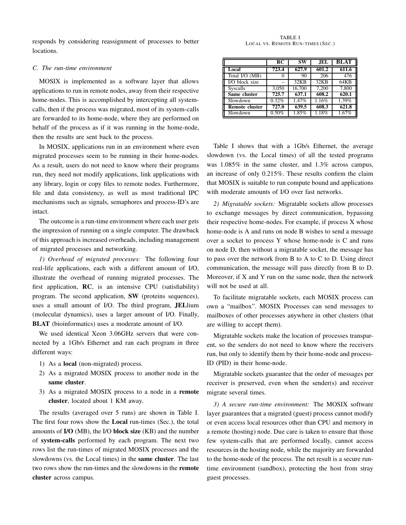responds by considering reassignment of processes to better locations.

# *C. The run-time environment*

MOSIX is implemented as a software layer that allows applications to run in remote nodes, away from their respective home-nodes. This is accomplished by intercepting all systemcalls, then if the process was migrated, most of its system-calls are forwarded to its home-node, where they are performed on behalf of the process as if it was running in the home-node, then the results are sent back to the process.

In MOSIX, applications run in an environment where even migrated processes seem to be running in their home-nodes. As a result, users do not need to know where their programs run, they need not modify applications, link applications with any library, login or copy files to remote nodes. Furthermore, file and data consistency, as well as most traditional IPC mechanisms such as signals, semaphores and process-ID's are intact.

The outcome is a run-time environment where each user gets the impression of running on a single computer. The drawback of this approach is increased overheads, including management of migrated processes and networking.

*1) Overhead of migrated processes:* The following four real-life applications, each with a different amount of I/O, illustrate the overhead of running migrated processes. The first application, RC, is an intensive CPU (satisfiability) program. The second application, SW (proteins sequences), uses a small amount of I/O. The third program, JELlium (molecular dynamics), uses a larger amount of I/O. Finally, BLAT (bioinformatics) uses a moderate amount of I/O.

We used identical Xeon 3.06GHz servers that were connected by a 1Gb/s Ethernet and ran each program in three different ways:

- 1) As a local (non-migrated) process.
- 2) As a migrated MOSIX process to another node in the same cluster.
- 3) As a migrated MOSIX process to a node in a remote cluster, located about 1 KM away.

The results (averaged over 5 runs) are shown in Table I. The first four rows show the Local run-times (Sec.), the total amounts of I/O (MB), the I/O block size (KB) and the number of system-calls performed by each program. The next two rows list the run-times of migrated MOSIX processes and the slowdowns (vs. the Local times) in the same cluster. The last two rows show the run-times and the slowdowns in the remote cluster across campus.

TABLE I LOCAL VS. REMOTE RUN-TIMES (SEC.)

|                       | RC    | SW                | <b>JEL</b> | BLAT  |
|-----------------------|-------|-------------------|------------|-------|
| Local                 | 723.4 | 627.9             | 601.2      | 611.6 |
| Total I/O (MB)        |       | 90                | 206        | 476   |
| I/O block size        |       | $32\overline{KB}$ | 32KB       | 64KB  |
| <b>Syscalls</b>       | 3,050 | 16,700            | 7.200      | 7,800 |
| Same cluster          | 725.7 | 637.1             | 608.2      | 620.1 |
| Slowdown              | 0.32% | 1.47%             | 1.16%      | 1.39% |
| <b>Remote cluster</b> | 727.0 | 639.5             | 608.3      | 621.8 |
| Slowdown              | 0.50% | 1.85%             | 1.18%      | 1.67% |

Table I shows that with a 1Gb/s Ethernet, the average slowdown (vs. the Local times) of all the tested programs was 1.085% in the same cluster, and 1.3% across campus, an increase of only 0.215%. These results confirm the claim that MOSIX is suitable to run compute bound and applications with moderate amounts of I/O over fast networks.

*2) Migratable sockets:* Migratable sockets allow processes to exchange messages by direct communication, bypassing their respective home-nodes. For example, if process X whose home-node is A and runs on node B wishes to send a message over a socket to process Y whose home-node is C and runs on node D, then without a migratable socket, the message has to pass over the network from B to A to C to D. Using direct communication, the message will pass directly from B to D. Moreover, if X and Y run on the same node, then the network will not be used at all.

To facilitate migratable sockets, each MOSIX process can own a "mailbox". MOSIX Processes can send messages to mailboxes of other processes anywhere in other clusters (that are willing to accept them).

Migratable sockets make the location of processes transparent, so the senders do not need to know where the receivers run, but only to identify them by their home-node and process-ID (PID) in their home-node.

Migratable sockets guarantee that the order of messages per receiver is preserved, even when the sender(s) and receiver migrate several times.

*3) A secure run-time environment:* The MOSIX software layer guarantees that a migrated (guest) process cannot modify or even access local resources other than CPU and memory in a remote (hosting) node. Due care is taken to ensure that those few system-calls that are performed locally, cannot access resources in the hosting node, while the majority are forwarded to the home-node of the process. The net result is a secure runtime environment (sandbox), protecting the host from stray guest processes.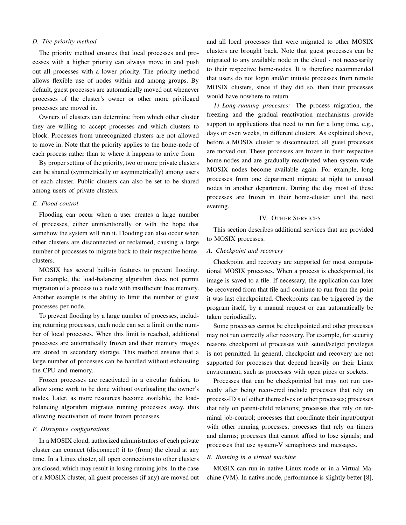## *D. The priority method*

The priority method ensures that local processes and processes with a higher priority can always move in and push out all processes with a lower priority. The priority method allows flexible use of nodes within and among groups. By default, guest processes are automatically moved out whenever processes of the cluster's owner or other more privileged processes are moved in.

Owners of clusters can determine from which other cluster they are willing to accept processes and which clusters to block. Processes from unrecognized clusters are not allowed to move in. Note that the priority applies to the home-node of each process rather than to where it happens to arrive from.

By proper setting of the priority, two or more private clusters can be shared (symmetrically or asymmetrically) among users of each cluster. Public clusters can also be set to be shared among users of private clusters.

# *E. Flood control*

Flooding can occur when a user creates a large number of processes, either unintentionally or with the hope that somehow the system will run it. Flooding can also occur when other clusters are disconnected or reclaimed, causing a large number of processes to migrate back to their respective homeclusters.

MOSIX has several built-in features to prevent flooding. For example, the load-balancing algorithm does not permit migration of a process to a node with insufficient free memory. Another example is the ability to limit the number of guest processes per node.

To prevent flooding by a large number of processes, including returning processes, each node can set a limit on the number of local processes. When this limit is reached, additional processes are automatically frozen and their memory images are stored in secondary storage. This method ensures that a large number of processes can be handled without exhausting the CPU and memory.

Frozen processes are reactivated in a circular fashion, to allow some work to be done without overloading the owner's nodes. Later, as more resources become available, the loadbalancing algorithm migrates running processes away, thus allowing reactivation of more frozen processes.

# *F. Disruptive configurations*

In a MOSIX cloud, authorized administrators of each private cluster can connect (disconnect) it to (from) the cloud at any time. In a Linux cluster, all open connections to other clusters are closed, which may result in losing running jobs. In the case of a MOSIX cluster, all guest processes (if any) are moved out

and all local processes that were migrated to other MOSIX clusters are brought back. Note that guest processes can be migrated to any available node in the cloud - not necessarily to their respective home-nodes. It is therefore recommended that users do not login and/or initiate processes from remote MOSIX clusters, since if they did so, then their processes would have nowhere to return.

*1) Long-running processes:* The process migration, the freezing and the gradual reactivation mechanisms provide support to applications that need to run for a long time, e.g., days or even weeks, in different clusters. As explained above, before a MOSIX cluster is disconnected, all guest processes are moved out. These processes are frozen in their respective home-nodes and are gradually reactivated when system-wide MOSIX nodes become available again. For example, long processes from one department migrate at night to unused nodes in another department. During the day most of these processes are frozen in their home-cluster until the next evening.

# IV. OTHER SERVICES

This section describes additional services that are provided to MOSIX processes.

# *A. Checkpoint and recovery*

Checkpoint and recovery are supported for most computational MOSIX processes. When a process is checkpointed, its image is saved to a file. If necessary, the application can later be recovered from that file and continue to run from the point it was last checkpointed. Checkpoints can be triggered by the program itself, by a manual request or can automatically be taken periodically.

Some processes cannot be checkpointed and other processes may not run correctly after recovery. For example, for security reasons checkpoint of processes with setuid/setgid privileges is not permitted. In general, checkpoint and recovery are not supported for processes that depend heavily on their Linux environment, such as processes with open pipes or sockets.

Processes that can be checkpointed but may not run correctly after being recovered include processes that rely on process-ID's of either themselves or other processes; processes that rely on parent-child relations; processes that rely on terminal job-control; processes that coordinate their input/output with other running processes; processes that rely on timers and alarms; processes that cannot afford to lose signals; and processes that use system-V semaphores and messages.

# *B. Running in a virtual machine*

MOSIX can run in native Linux mode or in a Virtual Machine (VM). In native mode, performance is slightly better [8],